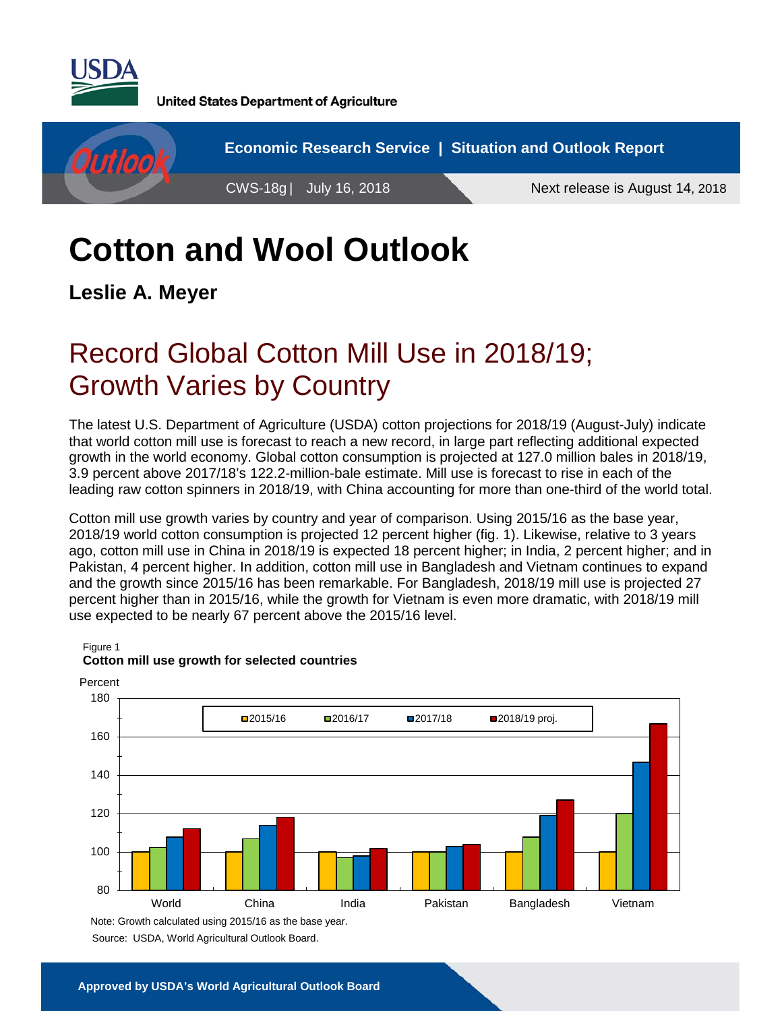

**United States Department of Agriculture** 



# **Cotton and Wool Outlook**

**Leslie A. Meyer**

## Record Global Cotton Mill Use in 2018/19; Growth Varies by Country

The latest U.S. Department of Agriculture (USDA) cotton projections for 2018/19 (August-July) indicate that world cotton mill use is forecast to reach a new record, in large part reflecting additional expected growth in the world economy. Global cotton consumption is projected at 127.0 million bales in 2018/19, 3.9 percent above 2017/18's 122.2-million-bale estimate. Mill use is forecast to rise in each of the leading raw cotton spinners in 2018/19, with China accounting for more than one-third of the world total.

Cotton mill use growth varies by country and year of comparison. Using 2015/16 as the base year, 2018/19 world cotton consumption is projected 12 percent higher (fig. 1). Likewise, relative to 3 years ago, cotton mill use in China in 2018/19 is expected 18 percent higher; in India, 2 percent higher; and in Pakistan, 4 percent higher. In addition, cotton mill use in Bangladesh and Vietnam continues to expand and the growth since 2015/16 has been remarkable. For Bangladesh, 2018/19 mill use is projected 27 percent higher than in 2015/16, while the growth for Vietnam is even more dramatic, with 2018/19 mill use expected to be nearly 67 percent above the 2015/16 level.



#### Figure 1 **Cotton mill use growth for selected countries**

Source: USDA, World Agricultural Outlook Board.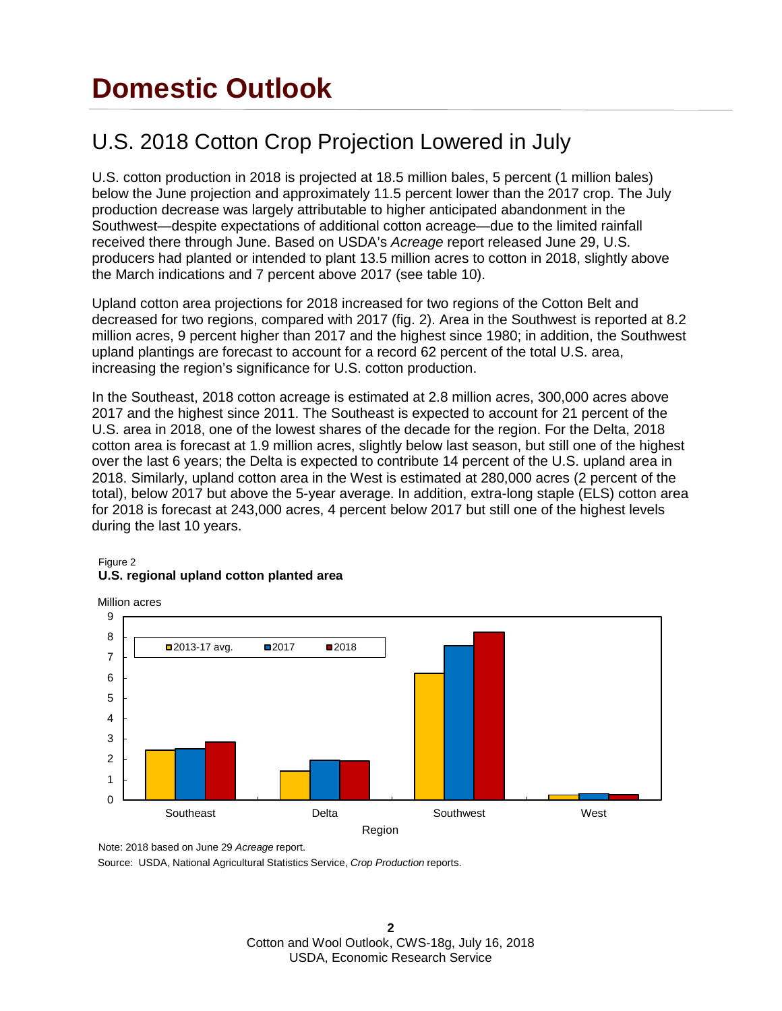## **Domestic Outlook**

### U.S. 2018 Cotton Crop Projection Lowered in July

U.S. cotton production in 2018 is projected at 18.5 million bales, 5 percent (1 million bales) below the June projection and approximately 11.5 percent lower than the 2017 crop. The July production decrease was largely attributable to higher anticipated abandonment in the Southwest—despite expectations of additional cotton acreage—due to the limited rainfall received there through June. Based on USDA's *Acreage* report released June 29, U.S. producers had planted or intended to plant 13.5 million acres to cotton in 2018, slightly above the March indications and 7 percent above 2017 (see table 10).

Upland cotton area projections for 2018 increased for two regions of the Cotton Belt and decreased for two regions, compared with 2017 (fig. 2). Area in the Southwest is reported at 8.2 million acres, 9 percent higher than 2017 and the highest since 1980; in addition, the Southwest upland plantings are forecast to account for a record 62 percent of the total U.S. area, increasing the region's significance for U.S. cotton production.

In the Southeast, 2018 cotton acreage is estimated at 2.8 million acres, 300,000 acres above 2017 and the highest since 2011. The Southeast is expected to account for 21 percent of the U.S. area in 2018, one of the lowest shares of the decade for the region. For the Delta, 2018 cotton area is forecast at 1.9 million acres, slightly below last season, but still one of the highest over the last 6 years; the Delta is expected to contribute 14 percent of the U.S. upland area in 2018. Similarly, upland cotton area in the West is estimated at 280,000 acres (2 percent of the total), below 2017 but above the 5-year average. In addition, extra-long staple (ELS) cotton area for 2018 is forecast at 243,000 acres, 4 percent below 2017 but still one of the highest levels during the last 10 years.

#### Figure 2 **U.S. regional upland cotton planted area**



Note: 2018 based on June 29 *Acreage* report.

Source: USDA, National Agricultural Statistics Service, *Crop Production* reports.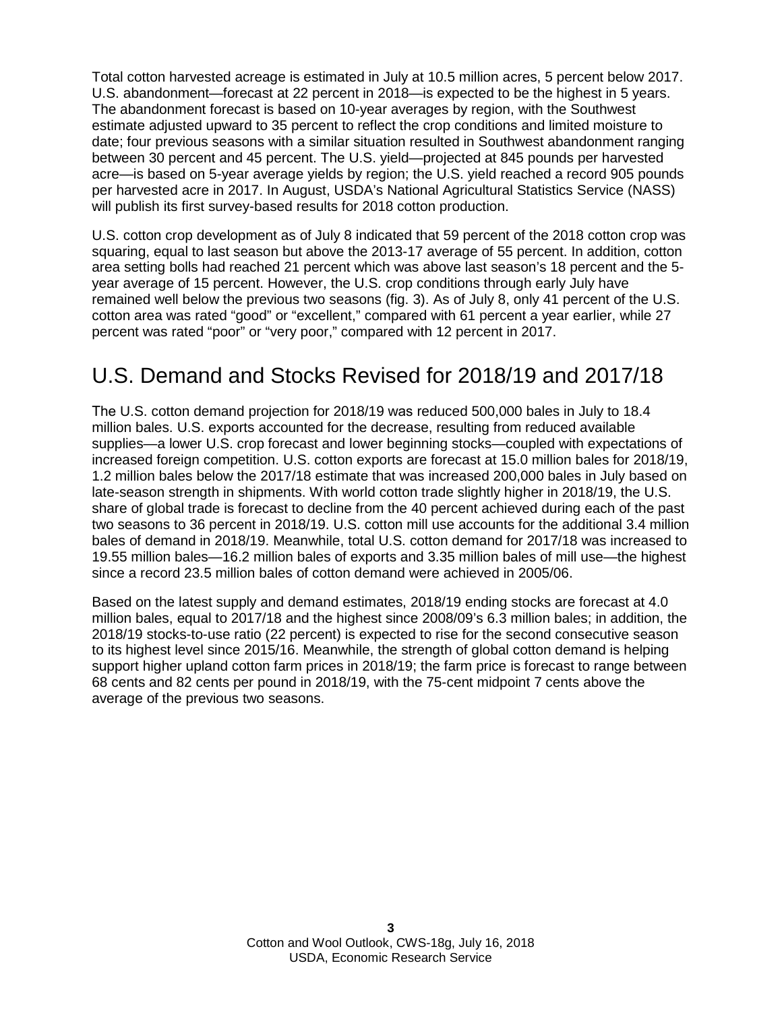Total cotton harvested acreage is estimated in July at 10.5 million acres, 5 percent below 2017. U.S. abandonment—forecast at 22 percent in 2018—is expected to be the highest in 5 years. The abandonment forecast is based on 10-year averages by region, with the Southwest estimate adjusted upward to 35 percent to reflect the crop conditions and limited moisture to date; four previous seasons with a similar situation resulted in Southwest abandonment ranging between 30 percent and 45 percent. The U.S. yield—projected at 845 pounds per harvested acre—is based on 5-year average yields by region; the U.S. yield reached a record 905 pounds per harvested acre in 2017. In August, USDA's National Agricultural Statistics Service (NASS) will publish its first survey-based results for 2018 cotton production.

U.S. cotton crop development as of July 8 indicated that 59 percent of the 2018 cotton crop was squaring, equal to last season but above the 2013-17 average of 55 percent. In addition, cotton area setting bolls had reached 21 percent which was above last season's 18 percent and the 5 year average of 15 percent. However, the U.S. crop conditions through early July have remained well below the previous two seasons (fig. 3). As of July 8, only 41 percent of the U.S. cotton area was rated "good" or "excellent," compared with 61 percent a year earlier, while 27 percent was rated "poor" or "very poor," compared with 12 percent in 2017.

### U.S. Demand and Stocks Revised for 2018/19 and 2017/18

The U.S. cotton demand projection for 2018/19 was reduced 500,000 bales in July to 18.4 million bales. U.S. exports accounted for the decrease, resulting from reduced available supplies—a lower U.S. crop forecast and lower beginning stocks—coupled with expectations of increased foreign competition. U.S. cotton exports are forecast at 15.0 million bales for 2018/19, 1.2 million bales below the 2017/18 estimate that was increased 200,000 bales in July based on late-season strength in shipments. With world cotton trade slightly higher in 2018/19, the U.S. share of global trade is forecast to decline from the 40 percent achieved during each of the past two seasons to 36 percent in 2018/19. U.S. cotton mill use accounts for the additional 3.4 million bales of demand in 2018/19. Meanwhile, total U.S. cotton demand for 2017/18 was increased to 19.55 million bales—16.2 million bales of exports and 3.35 million bales of mill use—the highest since a record 23.5 million bales of cotton demand were achieved in 2005/06.

Based on the latest supply and demand estimates, 2018/19 ending stocks are forecast at 4.0 million bales, equal to 2017/18 and the highest since 2008/09's 6.3 million bales; in addition, the 2018/19 stocks-to-use ratio (22 percent) is expected to rise for the second consecutive season to its highest level since 2015/16. Meanwhile, the strength of global cotton demand is helping support higher upland cotton farm prices in 2018/19; the farm price is forecast to range between 68 cents and 82 cents per pound in 2018/19, with the 75-cent midpoint 7 cents above the average of the previous two seasons.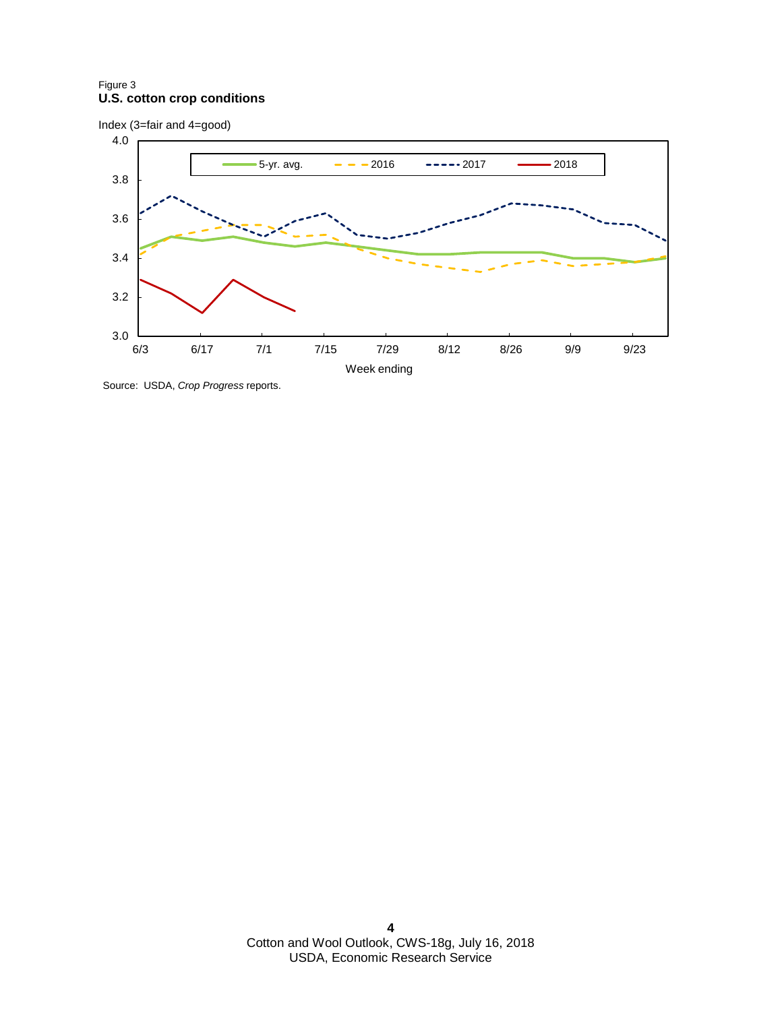#### Figure 3 **U.S. cotton crop conditions**

Index (3=fair and 4=good)



Source: USDA, *Crop Progress* reports.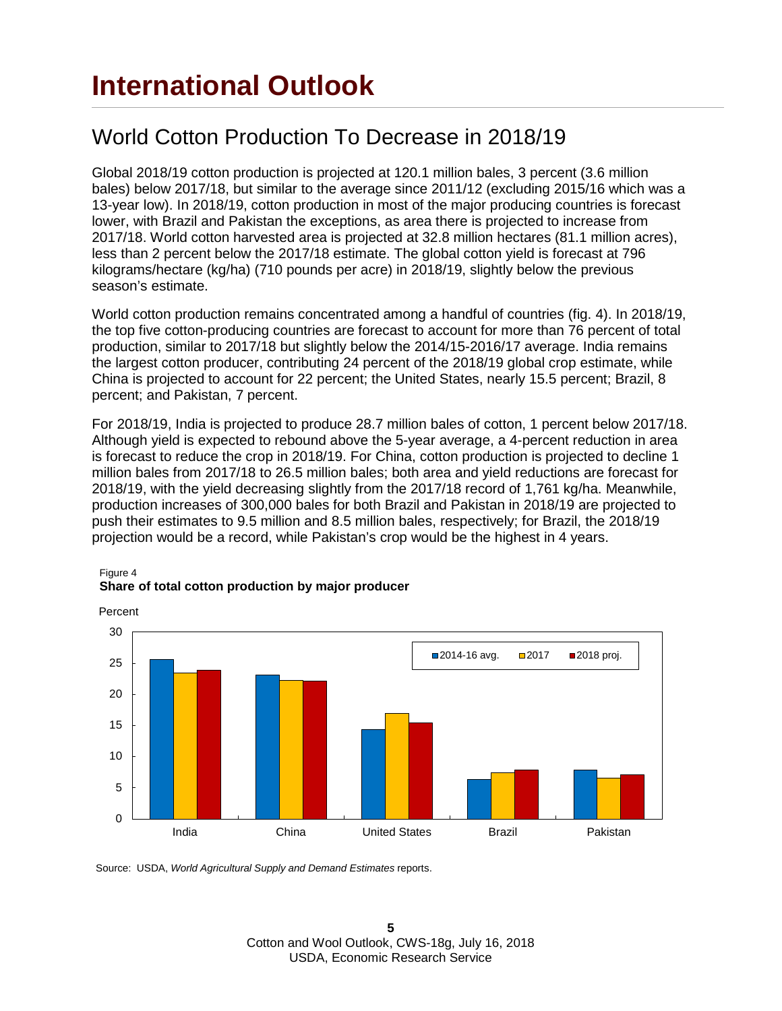### World Cotton Production To Decrease in 2018/19

Global 2018/19 cotton production is projected at 120.1 million bales, 3 percent (3.6 million bales) below 2017/18, but similar to the average since 2011/12 (excluding 2015/16 which was a 13-year low). In 2018/19, cotton production in most of the major producing countries is forecast lower, with Brazil and Pakistan the exceptions, as area there is projected to increase from 2017/18. World cotton harvested area is projected at 32.8 million hectares (81.1 million acres), less than 2 percent below the 2017/18 estimate. The global cotton yield is forecast at 796 kilograms/hectare (kg/ha) (710 pounds per acre) in 2018/19, slightly below the previous season's estimate.

World cotton production remains concentrated among a handful of countries (fig. 4). In 2018/19, the top five cotton-producing countries are forecast to account for more than 76 percent of total production, similar to 2017/18 but slightly below the 2014/15-2016/17 average. India remains the largest cotton producer, contributing 24 percent of the 2018/19 global crop estimate, while China is projected to account for 22 percent; the United States, nearly 15.5 percent; Brazil, 8 percent; and Pakistan, 7 percent.

For 2018/19, India is projected to produce 28.7 million bales of cotton, 1 percent below 2017/18. Although yield is expected to rebound above the 5-year average, a 4-percent reduction in area is forecast to reduce the crop in 2018/19. For China, cotton production is projected to decline 1 million bales from 2017/18 to 26.5 million bales; both area and yield reductions are forecast for 2018/19, with the yield decreasing slightly from the 2017/18 record of 1,761 kg/ha. Meanwhile, production increases of 300,000 bales for both Brazil and Pakistan in 2018/19 are projected to push their estimates to 9.5 million and 8.5 million bales, respectively; for Brazil, the 2018/19 projection would be a record, while Pakistan's crop would be the highest in 4 years.



#### Figure 4 **Share of total cotton production by major producer**

Source: USDA, *World Agricultural Supply and Demand Estimates* reports.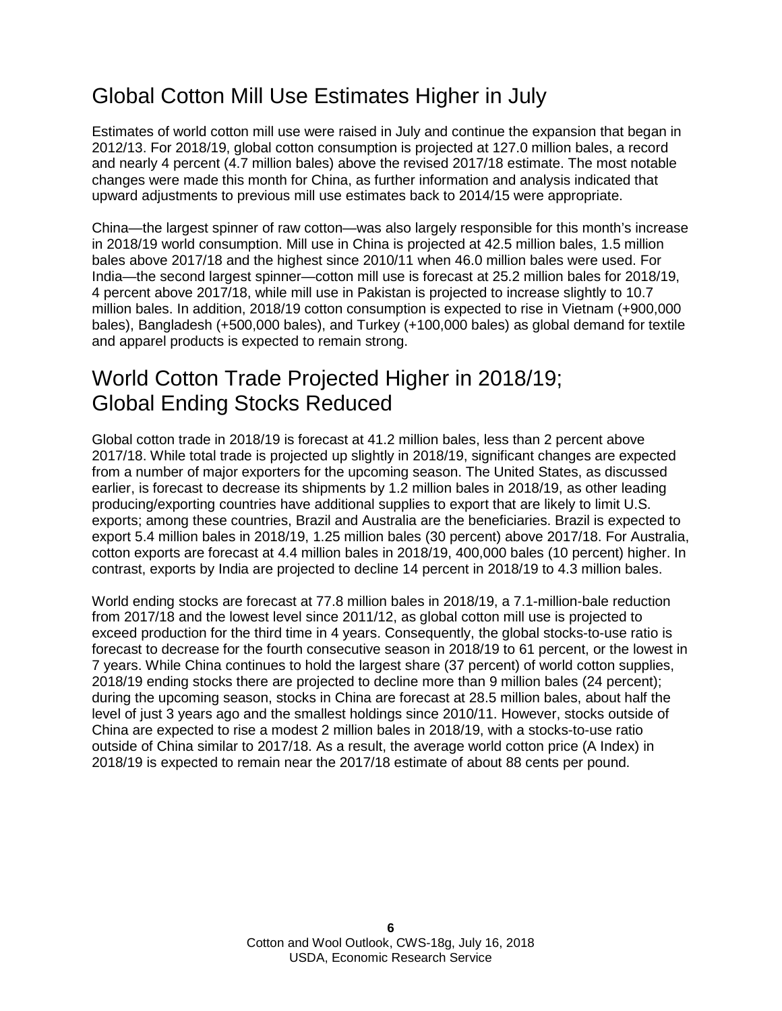### Global Cotton Mill Use Estimates Higher in July

Estimates of world cotton mill use were raised in July and continue the expansion that began in 2012/13. For 2018/19, global cotton consumption is projected at 127.0 million bales, a record and nearly 4 percent (4.7 million bales) above the revised 2017/18 estimate. The most notable changes were made this month for China, as further information and analysis indicated that upward adjustments to previous mill use estimates back to 2014/15 were appropriate.

China—the largest spinner of raw cotton—was also largely responsible for this month's increase in 2018/19 world consumption. Mill use in China is projected at 42.5 million bales, 1.5 million bales above 2017/18 and the highest since 2010/11 when 46.0 million bales were used. For India—the second largest spinner—cotton mill use is forecast at 25.2 million bales for 2018/19, 4 percent above 2017/18, while mill use in Pakistan is projected to increase slightly to 10.7 million bales. In addition, 2018/19 cotton consumption is expected to rise in Vietnam (+900,000 bales), Bangladesh (+500,000 bales), and Turkey (+100,000 bales) as global demand for textile and apparel products is expected to remain strong.

#### World Cotton Trade Projected Higher in 2018/19; Global Ending Stocks Reduced

Global cotton trade in 2018/19 is forecast at 41.2 million bales, less than 2 percent above 2017/18. While total trade is projected up slightly in 2018/19, significant changes are expected from a number of major exporters for the upcoming season. The United States, as discussed earlier, is forecast to decrease its shipments by 1.2 million bales in 2018/19, as other leading producing/exporting countries have additional supplies to export that are likely to limit U.S. exports; among these countries, Brazil and Australia are the beneficiaries. Brazil is expected to export 5.4 million bales in 2018/19, 1.25 million bales (30 percent) above 2017/18. For Australia, cotton exports are forecast at 4.4 million bales in 2018/19, 400,000 bales (10 percent) higher. In contrast, exports by India are projected to decline 14 percent in 2018/19 to 4.3 million bales.

World ending stocks are forecast at 77.8 million bales in 2018/19, a 7.1-million-bale reduction from 2017/18 and the lowest level since 2011/12, as global cotton mill use is projected to exceed production for the third time in 4 years. Consequently, the global stocks-to-use ratio is forecast to decrease for the fourth consecutive season in 2018/19 to 61 percent, or the lowest in 7 years. While China continues to hold the largest share (37 percent) of world cotton supplies, 2018/19 ending stocks there are projected to decline more than 9 million bales (24 percent); during the upcoming season, stocks in China are forecast at 28.5 million bales, about half the level of just 3 years ago and the smallest holdings since 2010/11. However, stocks outside of China are expected to rise a modest 2 million bales in 2018/19, with a stocks-to-use ratio outside of China similar to 2017/18. As a result, the average world cotton price (A Index) in 2018/19 is expected to remain near the 2017/18 estimate of about 88 cents per pound.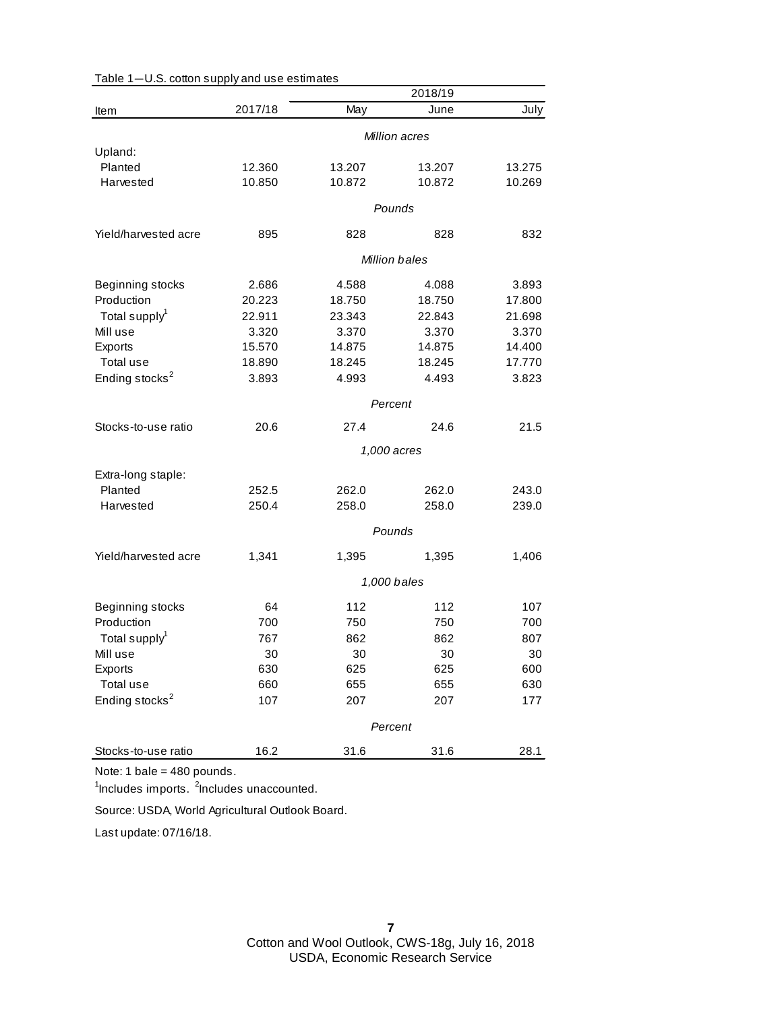|                            |               |        | 2018/19              |        |
|----------------------------|---------------|--------|----------------------|--------|
| Item                       | 2017/18       | May    | June                 | July   |
|                            | Million acres |        |                      |        |
| Upland:                    |               |        |                      |        |
| Planted                    | 12.360        | 13.207 | 13.207               | 13.275 |
| Harvested                  | 10.850        | 10.872 | 10.872               | 10.269 |
|                            |               |        | Pounds               |        |
| Yield/harvested acre       | 895           | 828    | 828                  | 832    |
|                            |               |        | <b>Million bales</b> |        |
| Beginning stocks           | 2.686         | 4.588  | 4.088                | 3.893  |
| Production                 | 20.223        | 18.750 | 18.750               | 17.800 |
| Total supply <sup>1</sup>  | 22.911        | 23.343 | 22.843               | 21.698 |
| Mill use                   | 3.320         | 3.370  | 3.370                | 3.370  |
| Exports                    | 15.570        | 14.875 | 14.875               | 14.400 |
| Total use                  | 18.890        | 18.245 | 18.245               | 17.770 |
| Ending stocks <sup>2</sup> | 3.893         | 4.993  | 4.493                | 3.823  |
|                            | Percent       |        |                      |        |
| Stocks-to-use ratio        | 20.6          | 27.4   | 24.6                 | 21.5   |
|                            |               |        | 1,000 acres          |        |
| Extra-long staple:         |               |        |                      |        |
| Planted                    | 252.5         | 262.0  | 262.0                | 243.0  |
| Harvested                  | 250.4         | 258.0  | 258.0                | 239.0  |
|                            |               |        |                      |        |
|                            |               |        | Pounds               |        |
| Yield/harvested acre       | 1,341         | 1,395  | 1,395                | 1,406  |
|                            |               |        | 1,000 bales          |        |
| Beginning stocks           | 64            | 112    | 112                  | 107    |
| Production                 | 700           | 750    | 750                  | 700    |
| Total supply <sup>1</sup>  | 767           | 862    | 862                  | 807    |
| Mill use                   | 30            | 30     | 30                   | 30     |
| Exports                    | 630           | 625    | 625                  | 600    |
| Total use                  | 660           | 655    | 655                  | 630    |
| Ending stocks <sup>2</sup> | 107           | 207    | 207                  | 177    |
|                            |               |        | Percent              |        |
| Stocks-to-use ratio        | 16.2          | 31.6   | 31.6                 | 28.1   |
|                            |               |        |                      |        |

Table 1—U.S. cotton supply and use estimates

Note: 1 bale = 480 pounds.

<sup>1</sup>Includes imports. <sup>2</sup>Includes unaccounted.

Source: USDA, World Agricultural Outlook Board.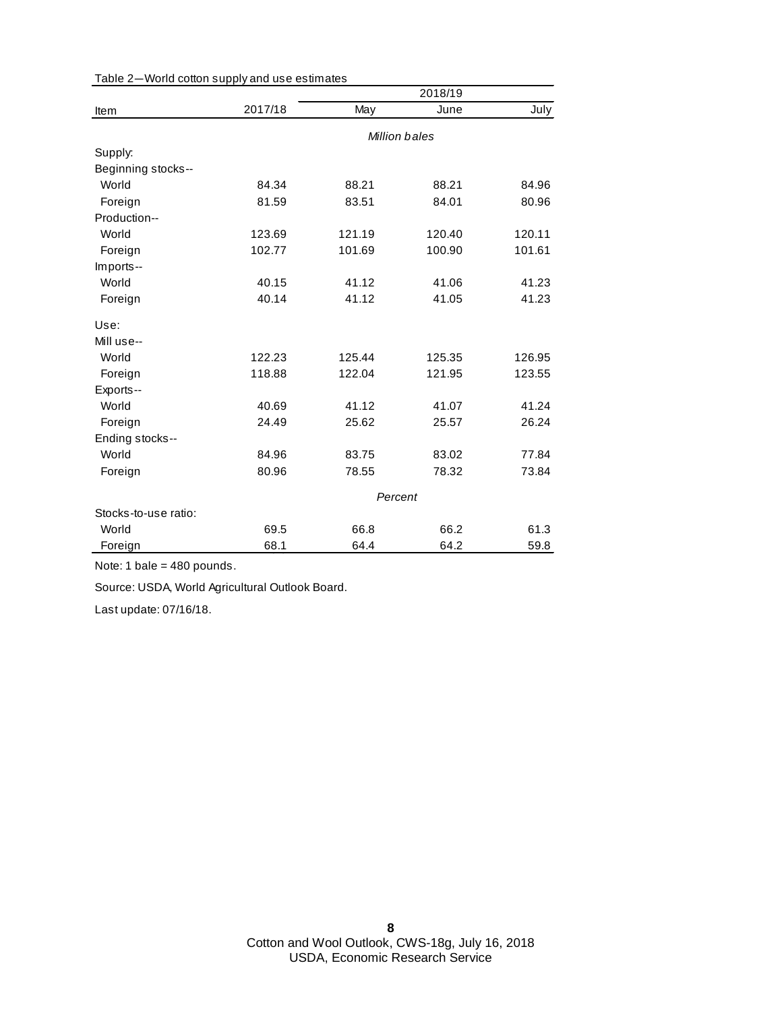|                      |               |        | 2018/19 |        |
|----------------------|---------------|--------|---------|--------|
| Item                 | 2017/18       | May    | June    | July   |
|                      | Million bales |        |         |        |
| Supply:              |               |        |         |        |
| Beginning stocks--   |               |        |         |        |
| World                | 84.34         | 88.21  | 88.21   | 84.96  |
| Foreign              | 81.59         | 83.51  | 84.01   | 80.96  |
| Production--         |               |        |         |        |
| World                | 123.69        | 121.19 | 120.40  | 120.11 |
| Foreign              | 102.77        | 101.69 | 100.90  | 101.61 |
| Imports--            |               |        |         |        |
| World                | 40.15         | 41.12  | 41.06   | 41.23  |
| Foreign              | 40.14         | 41.12  | 41.05   | 41.23  |
| Use:                 |               |        |         |        |
| Mill use--           |               |        |         |        |
| World                | 122.23        | 125.44 | 125.35  | 126.95 |
| Foreign              | 118.88        | 122.04 | 121.95  | 123.55 |
| Exports--            |               |        |         |        |
| World                | 40.69         | 41.12  | 41.07   | 41.24  |
| Foreign              | 24.49         | 25.62  | 25.57   | 26.24  |
| Ending stocks--      |               |        |         |        |
| World                | 84.96         | 83.75  | 83.02   | 77.84  |
| Foreign              | 80.96         | 78.55  | 78.32   | 73.84  |
|                      | Percent       |        |         |        |
| Stocks-to-use ratio: |               |        |         |        |
| World                | 69.5          | 66.8   | 66.2    | 61.3   |
| Foreign              | 68.1          | 64.4   | 64.2    | 59.8   |

Table 2—World cotton supply and use estimates

Note: 1 bale = 480 pounds.

Source: USDA, World Agricultural Outlook Board.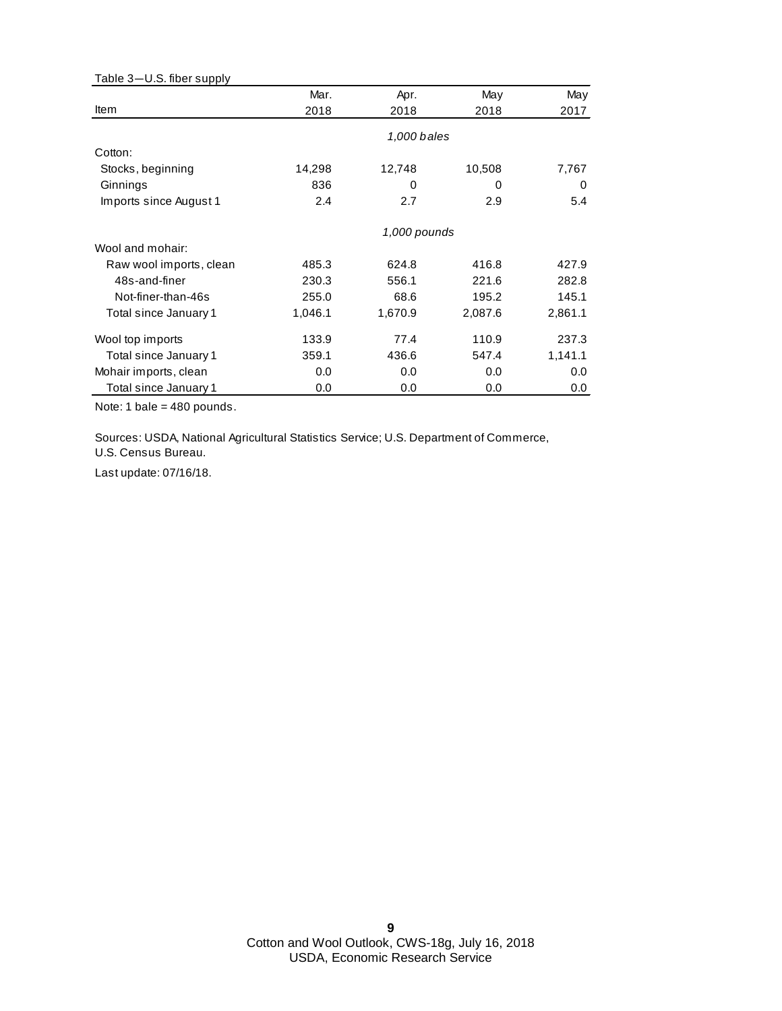| Table 3-U.S. fiber supply |         |              |         |          |
|---------------------------|---------|--------------|---------|----------|
|                           | Mar.    | Apr.         | May     | May      |
| Item                      | 2018    | 2018         | 2018    | 2017     |
|                           |         | 1,000 bales  |         |          |
| Cotton:                   |         |              |         |          |
| Stocks, beginning         | 14,298  | 12,748       | 10,508  | 7,767    |
| Ginnings                  | 836     | 0            | 0       | $\Omega$ |
| Imports since August 1    | 2.4     | 2.7          | 2.9     | 5.4      |
|                           |         | 1,000 pounds |         |          |
| Wool and mohair:          |         |              |         |          |
| Raw wool imports, clean   | 485.3   | 624.8        | 416.8   | 427.9    |
| 48s-and-finer             | 230.3   | 556.1        | 221.6   | 282.8    |
| Not-finer-than-46s        | 255.0   | 68.6         | 195.2   | 145.1    |
| Total since January 1     | 1,046.1 | 1,670.9      | 2,087.6 | 2,861.1  |
| Wool top imports          | 133.9   | 77.4         | 110.9   | 237.3    |
| Total since January 1     | 359.1   | 436.6        | 547.4   | 1,141.1  |
| Mohair imports, clean     | 0.0     | 0.0          | 0.0     | 0.0      |
| Total since January 1     | 0.0     | 0.0          | 0.0     | 0.0      |

Note: 1 bale = 480 pounds.

Sources: USDA, National Agricultural Statistics Service; U.S. Department of Commerce,

U.S. Census Bureau.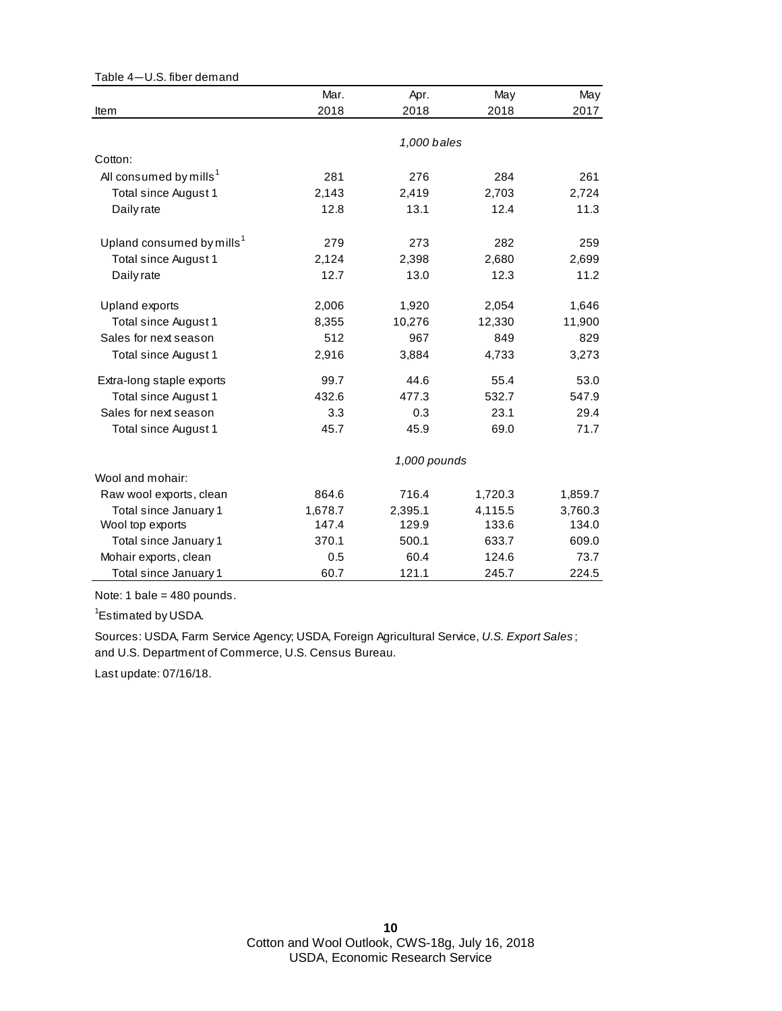| Table 4-U.S. fiber demand             |         |              |         |         |
|---------------------------------------|---------|--------------|---------|---------|
|                                       | Mar.    | Apr.         | May     | May     |
| Item                                  | 2018    | 2018         | 2018    | 2017    |
|                                       |         |              |         |         |
|                                       |         | 1,000 bales  |         |         |
| Cotton:                               |         |              |         |         |
| All consumed by mills <sup>1</sup>    | 281     | 276          | 284     | 261     |
| Total since August 1                  | 2,143   | 2,419        | 2,703   | 2,724   |
| Daily rate                            | 12.8    | 13.1         | 12.4    | 11.3    |
| Upland consumed by mills <sup>1</sup> | 279     | 273          | 282     | 259     |
| Total since August 1                  | 2,124   | 2,398        | 2,680   | 2,699   |
| Daily rate                            | 12.7    | 13.0         | 12.3    | 11.2    |
| Upland exports                        | 2,006   | 1,920        | 2,054   | 1,646   |
| Total since August 1                  | 8,355   | 10,276       | 12,330  | 11,900  |
| Sales for next season                 | 512     | 967          | 849     | 829     |
| Total since August 1                  | 2,916   | 3,884        | 4,733   | 3,273   |
| Extra-long staple exports             | 99.7    | 44.6         | 55.4    | 53.0    |
| Total since August 1                  | 432.6   | 477.3        | 532.7   | 547.9   |
| Sales for next season                 | 3.3     | 0.3          | 23.1    | 29.4    |
| Total since August 1                  | 45.7    | 45.9         | 69.0    | 71.7    |
|                                       |         | 1,000 pounds |         |         |
| Wool and mohair:                      |         |              |         |         |
| Raw wool exports, clean               | 864.6   | 716.4        | 1,720.3 | 1,859.7 |
| Total since January 1                 | 1,678.7 | 2,395.1      | 4,115.5 | 3,760.3 |
| Wool top exports                      | 147.4   | 129.9        | 133.6   | 134.0   |
| Total since January 1                 | 370.1   | 500.1        | 633.7   | 609.0   |
| Mohair exports, clean                 | 0.5     | 60.4         | 124.6   | 73.7    |
| Total since January 1                 | 60.7    | 121.1        | 245.7   | 224.5   |

Note: 1 bale = 480 pounds.

<sup>1</sup>Estimated by USDA.

and U.S. Department of Commerce, U.S. Census Bureau. Sources: USDA, Farm Service Agency; USDA, Foreign Agricultural Service, *U.S. Export Sales* ;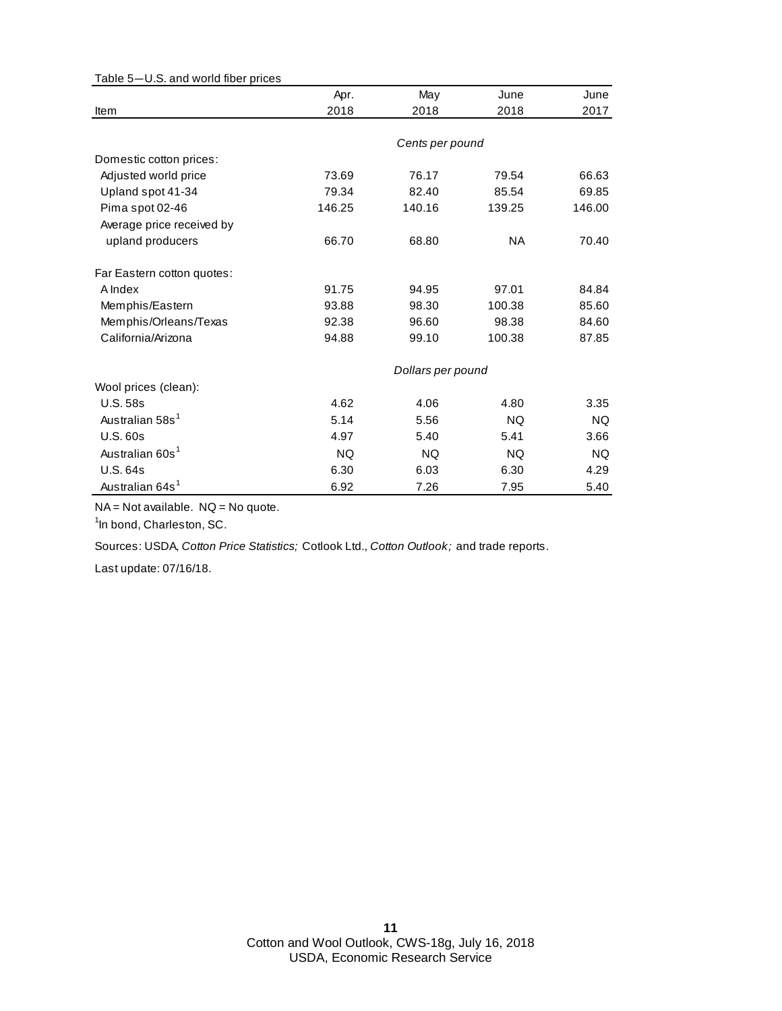| rable J-0.3. and wond much prices | Apr.      | May               | June      | June      |
|-----------------------------------|-----------|-------------------|-----------|-----------|
| Item                              | 2018      | 2018              | 2018      | 2017      |
|                                   |           |                   |           |           |
|                                   |           | Cents per pound   |           |           |
| Domestic cotton prices:           |           |                   |           |           |
| Adjusted world price              | 73.69     | 76.17             | 79.54     | 66.63     |
| Upland spot 41-34                 | 79.34     | 82.40             | 85.54     | 69.85     |
| Pima spot 02-46                   | 146.25    | 140.16            | 139.25    | 146.00    |
| Average price received by         |           |                   |           |           |
| upland producers                  | 66.70     | 68.80             | <b>NA</b> | 70.40     |
| Far Eastern cotton quotes:        |           |                   |           |           |
| A Index                           | 91.75     | 94.95             | 97.01     | 84.84     |
| Memphis/Eastern                   | 93.88     | 98.30             | 100.38    | 85.60     |
| Memphis/Orleans/Texas             | 92.38     | 96.60             | 98.38     | 84.60     |
| California/Arizona                | 94.88     | 99.10             | 100.38    | 87.85     |
|                                   |           | Dollars per pound |           |           |
| Wool prices (clean):              |           |                   |           |           |
| <b>U.S. 58s</b>                   | 4.62      | 4.06              | 4.80      | 3.35      |
| Australian 58s <sup>1</sup>       | 5.14      | 5.56              | <b>NQ</b> | <b>NQ</b> |
| <b>U.S. 60s</b>                   | 4.97      | 5.40              | 5.41      | 3.66      |
| Australian 60s <sup>1</sup>       | <b>NQ</b> | <b>NQ</b>         | <b>NQ</b> | <b>NQ</b> |
| U.S. 64s                          | 6.30      | 6.03              | 6.30      | 4.29      |
| Australian 64s <sup>1</sup>       | 6.92      | 7.26              | 7.95      | 5.40      |

Table 5—U.S. and world fiber prices

NA = Not available. NQ = No quote.

<sup>1</sup>In bond, Charleston, SC.

Sources: USDA, *Cotton Price Statistics;* Cotlook Ltd., *Cotton Outlook;* and trade reports.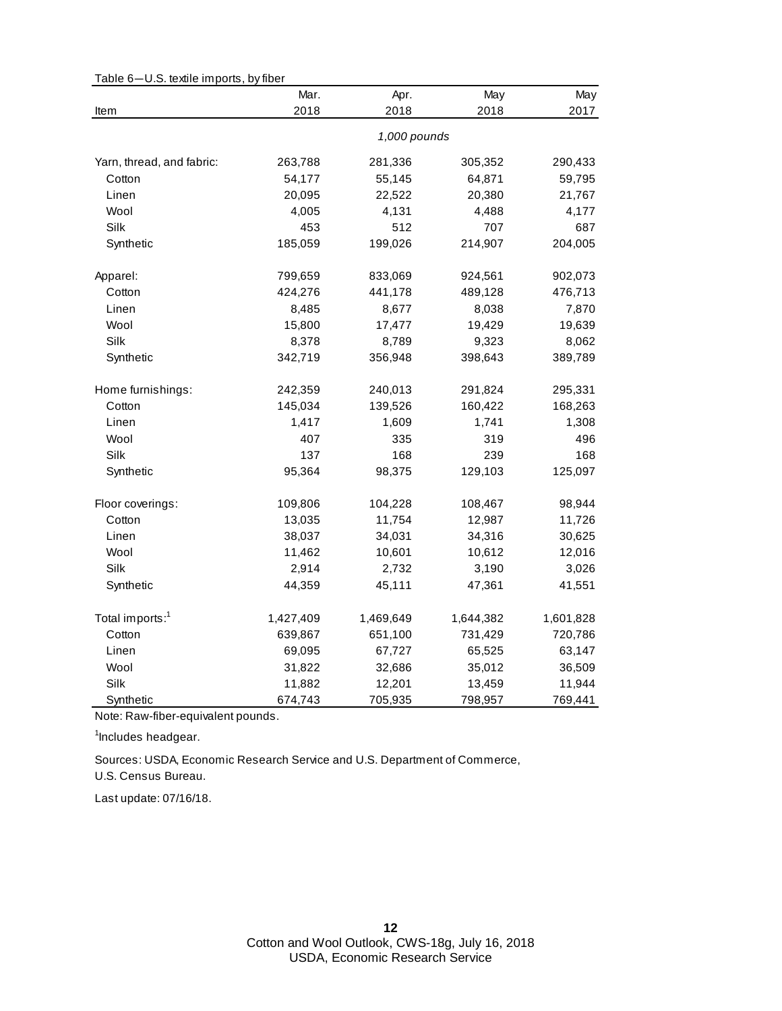|                             | Mar.      | Apr.         | May       | May       |
|-----------------------------|-----------|--------------|-----------|-----------|
| Item                        | 2018      | 2018         | 2018      | 2017      |
|                             |           | 1,000 pounds |           |           |
| Yarn, thread, and fabric:   | 263,788   | 281,336      | 305,352   | 290,433   |
| Cotton                      | 54,177    | 55,145       | 64,871    | 59,795    |
| Linen                       | 20,095    | 22,522       | 20,380    | 21,767    |
| Wool                        | 4,005     | 4,131        | 4,488     | 4,177     |
| Silk                        | 453       | 512          | 707       | 687       |
| Synthetic                   | 185,059   | 199,026      | 214,907   | 204,005   |
| Apparel:                    | 799,659   | 833,069      | 924,561   | 902,073   |
| Cotton                      | 424,276   | 441,178      | 489,128   | 476,713   |
| Linen                       | 8,485     | 8,677        | 8,038     | 7,870     |
| Wool                        | 15,800    | 17,477       | 19,429    | 19,639    |
| Silk                        | 8,378     | 8,789        | 9,323     | 8,062     |
| Synthetic                   | 342,719   | 356,948      | 398,643   | 389,789   |
| Home furnishings:           | 242,359   | 240,013      | 291,824   | 295,331   |
| Cotton                      | 145,034   | 139,526      | 160,422   | 168,263   |
| Linen                       | 1,417     | 1,609        | 1,741     | 1,308     |
| Wool                        | 407       | 335          | 319       | 496       |
| Silk                        | 137       | 168          | 239       | 168       |
| Synthetic                   | 95,364    | 98,375       | 129,103   | 125,097   |
| Floor coverings:            | 109,806   | 104,228      | 108,467   | 98,944    |
| Cotton                      | 13,035    | 11,754       | 12,987    | 11,726    |
| Linen                       | 38,037    | 34,031       | 34,316    | 30,625    |
| Wool                        | 11,462    | 10,601       | 10,612    | 12,016    |
| Silk                        | 2,914     | 2,732        | 3,190     | 3,026     |
| Synthetic                   | 44,359    | 45,111       | 47,361    | 41,551    |
| Total imports: <sup>1</sup> | 1,427,409 | 1,469,649    | 1,644,382 | 1,601,828 |
| Cotton                      | 639,867   | 651,100      | 731,429   | 720,786   |
| Linen                       | 69,095    | 67,727       | 65,525    | 63,147    |
| Wool                        | 31,822    | 32,686       | 35,012    | 36,509    |
| Silk                        | 11,882    | 12,201       | 13,459    | 11,944    |
| Synthetic                   | 674,743   | 705,935      | 798,957   | 769,441   |

Table 6—U.S. textile imports, by fiber

Note: Raw-fiber-equivalent pounds.

<sup>1</sup>Includes headgear.

Sources: USDA, Economic Research Service and U.S. Department of Commerce,

U.S. Census Bureau.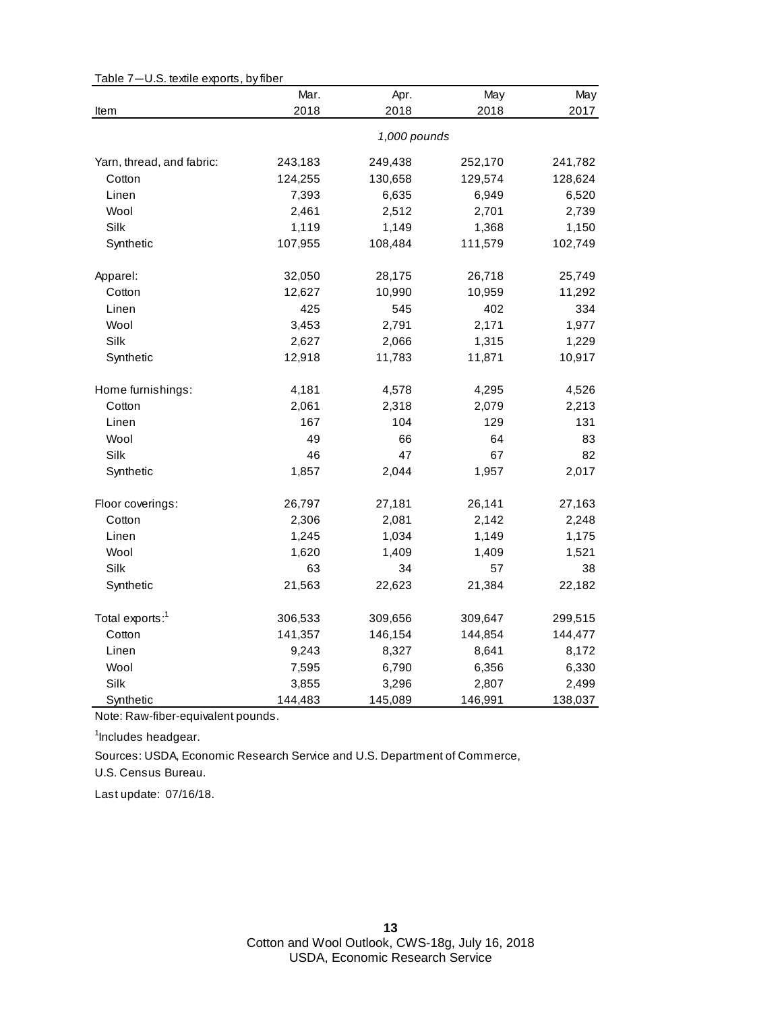| o.o. iovino oxporto, by moor | Mar.    | Apr.         | May     | May     |
|------------------------------|---------|--------------|---------|---------|
| Item                         | 2018    | 2018         | 2018    | 2017    |
|                              |         | 1,000 pounds |         |         |
| Yarn, thread, and fabric:    | 243,183 | 249,438      | 252,170 | 241,782 |
| Cotton                       | 124,255 | 130,658      | 129,574 | 128,624 |
| Linen                        | 7,393   | 6,635        | 6,949   | 6,520   |
| Wool                         | 2,461   | 2,512        | 2,701   | 2,739   |
| Silk                         | 1,119   | 1,149        | 1,368   | 1,150   |
| Synthetic                    | 107,955 | 108,484      | 111,579 | 102,749 |
| Apparel:                     | 32,050  | 28,175       | 26,718  | 25,749  |
| Cotton                       | 12,627  | 10,990       | 10,959  | 11,292  |
| Linen                        | 425     | 545          | 402     | 334     |
| Wool                         | 3,453   | 2,791        | 2,171   | 1,977   |
| Silk                         | 2,627   | 2,066        | 1,315   | 1,229   |
| Synthetic                    | 12,918  | 11,783       | 11,871  | 10,917  |
| Home furnishings:            | 4,181   | 4,578        | 4,295   | 4,526   |
| Cotton                       | 2,061   | 2,318        | 2,079   | 2,213   |
| Linen                        | 167     | 104          | 129     | 131     |
| Wool                         | 49      | 66           | 64      | 83      |
| Silk                         | 46      | 47           | 67      | 82      |
| Synthetic                    | 1,857   | 2,044        | 1,957   | 2,017   |
| Floor coverings:             | 26,797  | 27,181       | 26,141  | 27,163  |
| Cotton                       | 2,306   | 2,081        | 2,142   | 2,248   |
| Linen                        | 1,245   | 1,034        | 1,149   | 1,175   |
| Wool                         | 1,620   | 1,409        | 1,409   | 1,521   |
| Silk                         | 63      | 34           | 57      | 38      |
| Synthetic                    | 21,563  | 22,623       | 21,384  | 22,182  |
| Total exports: <sup>1</sup>  | 306,533 | 309,656      | 309,647 | 299,515 |
| Cotton                       | 141,357 | 146,154      | 144,854 | 144,477 |
| Linen                        | 9,243   | 8,327        | 8,641   | 8,172   |
| Wool                         | 7,595   | 6,790        | 6,356   | 6,330   |
| Silk                         | 3,855   | 3,296        | 2,807   | 2,499   |
| Synthetic                    | 144,483 | 145,089      | 146,991 | 138,037 |

Table 7—U.S. textile exports, by fiber

Note: Raw-fiber-equivalent pounds.

<sup>1</sup>Includes headgear.

U.S. Census Bureau. Sources: USDA, Economic Research Service and U.S. Department of Commerce,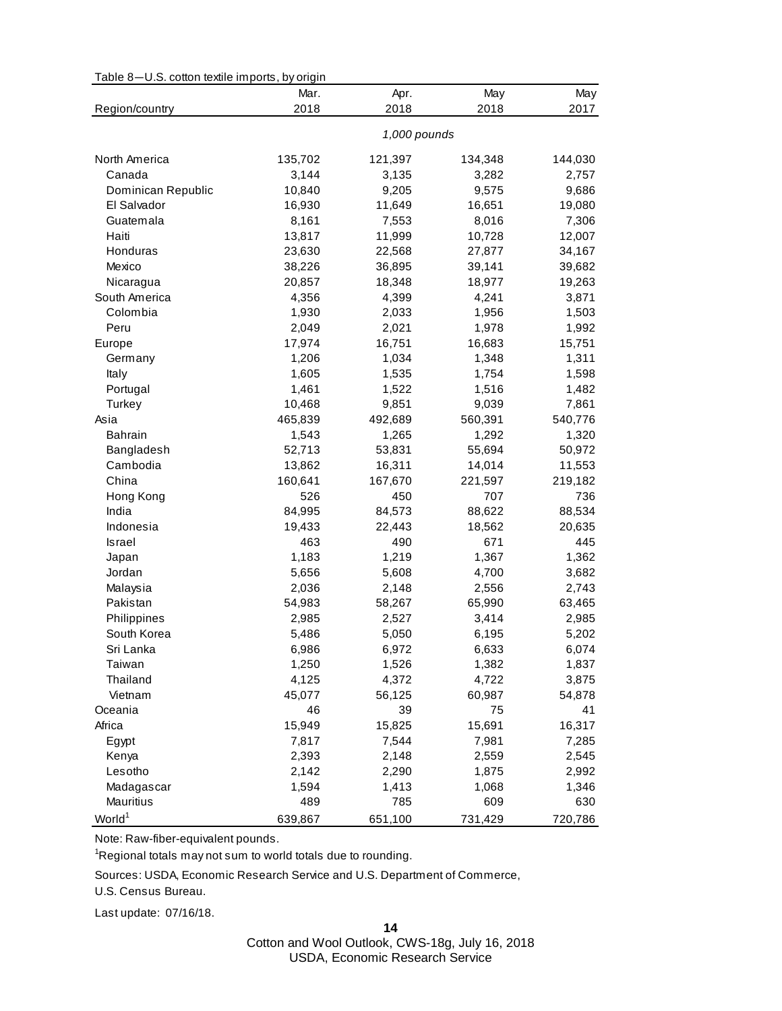| Table 8-U.S. cotton textile imports, by origin |  |  |  |  |  |
|------------------------------------------------|--|--|--|--|--|
|------------------------------------------------|--|--|--|--|--|

|                    | Mar.    | Apr.         | May     | May     |
|--------------------|---------|--------------|---------|---------|
| Region/country     | 2018    | 2018         | 2018    | 2017    |
|                    |         | 1,000 pounds |         |         |
| North America      | 135,702 | 121,397      | 134,348 | 144,030 |
| Canada             | 3,144   | 3,135        | 3,282   | 2,757   |
| Dominican Republic | 10,840  | 9,205        | 9,575   | 9,686   |
| El Salvador        | 16,930  | 11,649       | 16,651  | 19,080  |
| Guatemala          | 8,161   | 7,553        | 8,016   | 7,306   |
| Haiti              | 13,817  | 11,999       | 10,728  | 12,007  |
| Honduras           | 23,630  | 22,568       | 27,877  | 34,167  |
| Mexico             | 38,226  | 36,895       | 39,141  | 39,682  |
| Nicaragua          | 20,857  | 18,348       | 18,977  | 19,263  |
| South America      | 4,356   | 4,399        | 4,241   | 3,871   |
| Colombia           | 1,930   | 2,033        | 1,956   | 1,503   |
| Peru               | 2,049   | 2,021        | 1,978   | 1,992   |
| Europe             | 17,974  | 16,751       | 16,683  | 15,751  |
| Germany            | 1,206   | 1,034        | 1,348   | 1,311   |
| Italy              | 1,605   | 1,535        | 1,754   | 1,598   |
| Portugal           | 1,461   | 1,522        | 1,516   | 1,482   |
| Turkey             | 10,468  | 9,851        | 9,039   | 7,861   |
| Asia               | 465,839 | 492,689      | 560,391 | 540,776 |
| <b>Bahrain</b>     | 1,543   | 1,265        | 1,292   | 1,320   |
| Bangladesh         | 52,713  | 53,831       | 55,694  | 50,972  |
| Cambodia           | 13,862  | 16,311       | 14,014  | 11,553  |
| China              | 160,641 | 167,670      | 221,597 | 219,182 |
| Hong Kong          | 526     | 450          | 707     | 736     |
| India              | 84,995  | 84,573       | 88,622  | 88,534  |
| Indonesia          | 19,433  | 22,443       | 18,562  | 20,635  |
| Israel             | 463     | 490          | 671     | 445     |
| Japan              | 1,183   | 1,219        | 1,367   | 1,362   |
| Jordan             | 5,656   | 5,608        | 4,700   | 3,682   |
| Malaysia           | 2,036   | 2,148        | 2,556   | 2,743   |
| Pakistan           | 54,983  | 58,267       | 65,990  | 63,465  |
| Philippines        | 2,985   | 2,527        | 3,414   | 2,985   |
| South Korea        | 5,486   | 5,050        | 6,195   | 5,202   |
| Sri Lanka          | 6,986   | 6,972        | 6,633   | 6,074   |
| Taiwan             | 1,250   | 1,526        | 1,382   | 1,837   |
| Thailand           | 4,125   | 4,372        | 4,722   | 3,875   |
| Vietnam            | 45,077  | 56,125       | 60,987  | 54,878  |
| Oceania            | 46      | 39           | 75      | 41      |
| Africa             | 15,949  | 15,825       | 15,691  | 16,317  |
| Egypt              | 7,817   | 7,544        | 7,981   | 7,285   |
| Kenya              | 2,393   | 2,148        | 2,559   | 2,545   |
| Lesotho            | 2,142   | 2,290        | 1,875   | 2,992   |
| Madagascar         | 1,594   | 1,413        | 1,068   | 1,346   |
| Mauritius          | 489     | 785          | 609     | 630     |
| World <sup>1</sup> | 639,867 | 651,100      | 731,429 | 720,786 |
|                    |         |              |         |         |

Note: Raw-fiber-equivalent pounds.

<sup>1</sup>Regional totals may not sum to world totals due to rounding.

Sources: USDA, Economic Research Service and U.S. Department of Commerce,

U.S. Census Bureau.

Last update: 07/16/18.

**14**

Cotton and Wool Outlook, CWS-18g, July 16, 2018 USDA, Economic Research Service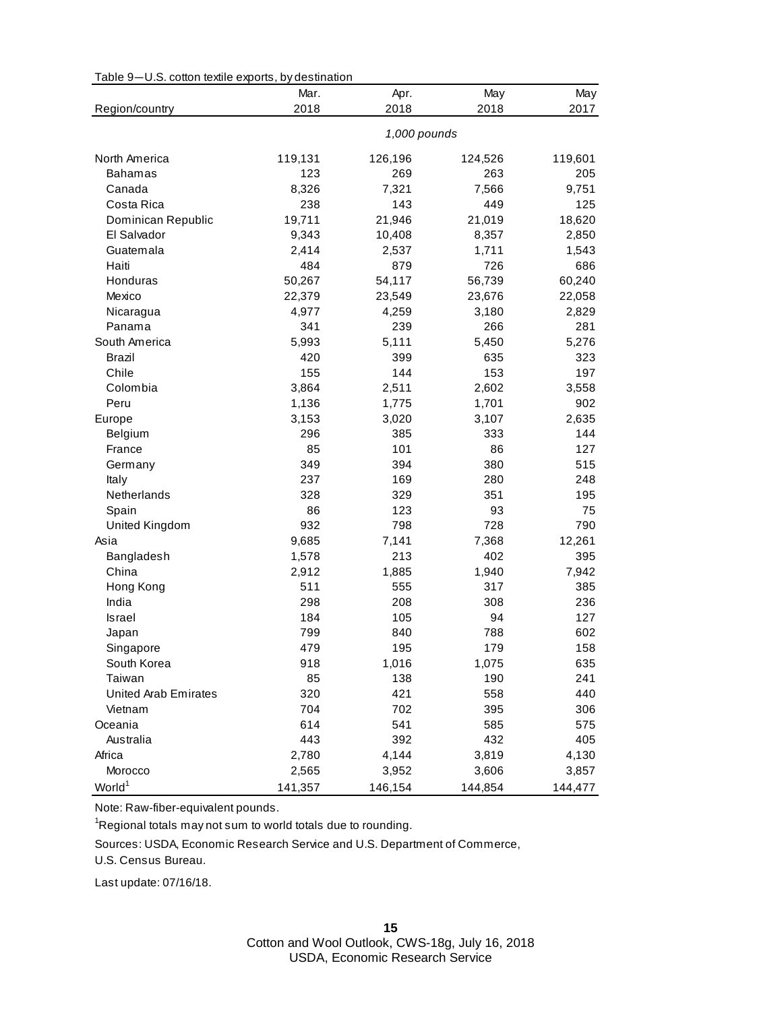| Table 9-U.S. cotton textile exports, by destination |  |
|-----------------------------------------------------|--|
|-----------------------------------------------------|--|

|                             | Mar.         | Apr.    | May     | May     |
|-----------------------------|--------------|---------|---------|---------|
| Region/country              | 2018         | 2018    | 2018    | 2017    |
|                             | 1,000 pounds |         |         |         |
| North America               | 119,131      | 126,196 | 124,526 | 119,601 |
| <b>Bahamas</b>              | 123          | 269     | 263     | 205     |
| Canada                      | 8,326        | 7,321   | 7,566   | 9,751   |
| Costa Rica                  | 238          | 143     | 449     | 125     |
| Dominican Republic          | 19,711       | 21,946  | 21,019  | 18,620  |
| El Salvador                 | 9,343        | 10,408  | 8,357   | 2,850   |
| Guatemala                   | 2,414        | 2,537   | 1,711   | 1,543   |
| Haiti                       | 484          | 879     | 726     | 686     |
| Honduras                    | 50,267       | 54,117  | 56,739  | 60,240  |
| Mexico                      | 22,379       | 23,549  | 23,676  | 22,058  |
| Nicaragua                   | 4,977        | 4,259   | 3,180   | 2,829   |
| Panama                      | 341          | 239     | 266     | 281     |
| South America               | 5,993        | 5,111   | 5,450   | 5,276   |
| Brazil                      | 420          | 399     | 635     | 323     |
| Chile                       | 155          | 144     | 153     | 197     |
| Colombia                    | 3,864        | 2,511   | 2,602   | 3,558   |
| Peru                        | 1,136        | 1,775   | 1,701   | 902     |
| Europe                      | 3,153        | 3,020   | 3,107   | 2,635   |
| Belgium                     | 296          | 385     | 333     | 144     |
| France                      | 85           | 101     | 86      | 127     |
| Germany                     | 349          | 394     | 380     | 515     |
| Italy                       | 237          | 169     | 280     | 248     |
| Netherlands                 | 328          | 329     | 351     | 195     |
| Spain                       | 86           | 123     | 93      | 75      |
| United Kingdom              | 932          | 798     | 728     | 790     |
| Asia                        | 9,685        | 7,141   | 7,368   | 12,261  |
| Bangladesh                  | 1,578        | 213     | 402     | 395     |
| China                       | 2,912        | 1,885   | 1,940   | 7,942   |
| Hong Kong                   | 511          | 555     | 317     | 385     |
| India                       | 298          | 208     | 308     | 236     |
| <b>Israel</b>               | 184          | 105     | 94      | 127     |
| Japan                       | 799          | 840     | 788     | 602     |
| Singapore                   | 479          | 195     | 179     | 158     |
| South Korea                 | 918          | 1,016   | 1,075   | 635     |
| Taiwan                      | 85           | 138     | 190     | 241     |
| <b>United Arab Emirates</b> | 320          | 421     | 558     | 440     |
| Vietnam                     | 704          | 702     | 395     | 306     |
| Oceania                     | 614          | 541     | 585     | 575     |
| Australia                   | 443          | 392     | 432     | 405     |
| Africa                      | 2,780        | 4,144   | 3,819   | 4,130   |
| Morocco                     | 2,565        | 3,952   | 3,606   | 3,857   |
| World <sup>1</sup>          | 141,357      | 146,154 | 144,854 | 144,477 |

Note: Raw-fiber-equivalent pounds.

<sup>1</sup>Regional totals may not sum to world totals due to rounding.

Sources: USDA, Economic Research Service and U.S. Department of Commerce,

U.S. Census Bureau.

Last update: 07/16/18.

Cotton and Wool Outlook, CWS-18g, July 16, 2018 USDA, Economic Research Service